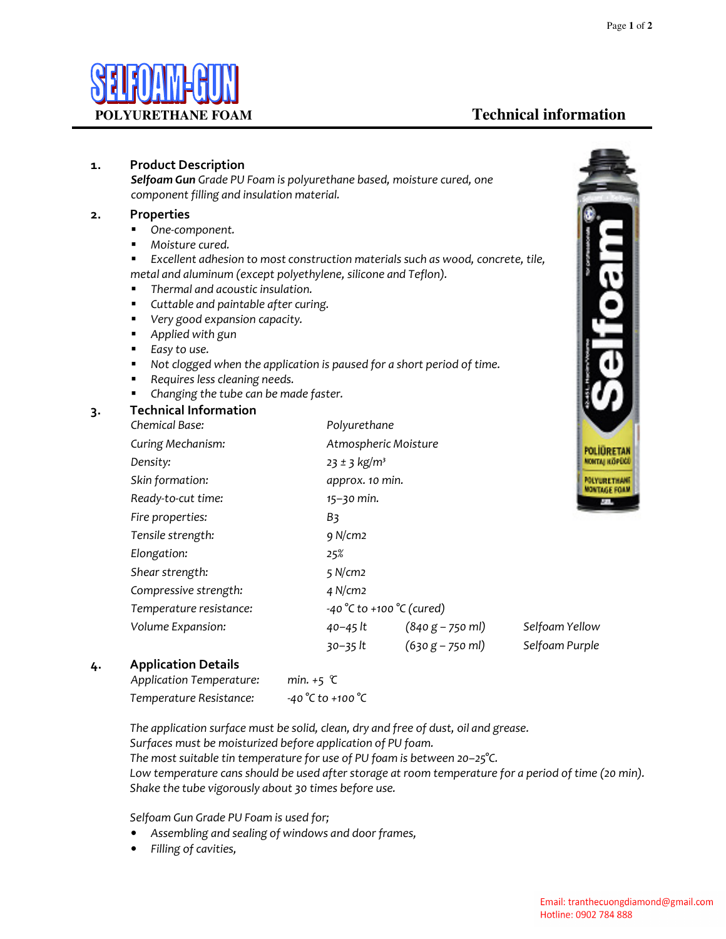POLIURETAN монтиј и бебов **MOVERETHANK MONTAGE FORM** 

## **POLYURETHANE FOAM Technical information**

#### **1. Product Description**

*Selfoam Gun Grade PU Foam is polyurethane based, moisture cured, one component filling and insulation material.* 

#### **2. Properties**

- *One-component.*
- *Moisture cured.*

 *Excellent adhesion to most construction materials such as wood, concrete, tile, metal and aluminum (except polyethylene, silicone and Teflon).* 

- *Thermal and acoustic insulation.*
- *Cuttable and paintable after curing.*
- *Very good expansion capacity.*
- *Applied with gun*
- *Easy to use.*
- Not clogged when the application is paused for a short period of time.
- *Requires less cleaning needs.*
- *Changing the tube can be made faster.*

#### **3. Technical Information**

| Chemical Base:           | Polyurethane                                    |                    |                |
|--------------------------|-------------------------------------------------|--------------------|----------------|
| <b>Curing Mechanism:</b> | Atmospheric Moisture<br>POLII                   |                    |                |
| Density:                 | $23 \pm 3$ kg/m <sup>3</sup><br><b>MONTA</b>    |                    |                |
| Skin formation:          | <b>POLYU</b><br>approx. 10 min.<br><b>MONTA</b> |                    |                |
| Ready-to-cut time:       | $15 - 30$ min.                                  |                    |                |
| Fire properties:         | B3                                              |                    |                |
| Tensile strength:        | 9 N/cm <sub>2</sub>                             |                    |                |
| Elongation:              | 25%                                             |                    |                |
| Shear strength:          | $5$ N/cm2                                       |                    |                |
| Compressive strength:    | $4$ N/cm2                                       |                    |                |
| Temperature resistance:  | $-40 °C$ to $+100 °C$ (cured)                   |                    |                |
| Volume Expansion:        | 40–45 lt                                        | $(840 g - 750 ml)$ | Selfoam Yellow |
|                          | 30–35 lt                                        | $(630 g - 750 ml)$ | Selfoam Purple |
|                          |                                                 |                    |                |

#### **4. Application Details**

| Application Temperature: | min. $+5$ $\mathcal{C}$ |
|--------------------------|-------------------------|
| Temperature Resistance:  | $-40 °C$ to $+100 °C$   |

 *The application surface must be solid, clean, dry and free of dust, oil and grease. Surfaces must be moisturized before application of PU foam. The most suitable tin temperature for use of PU foam is between 20–25°C. Low temperature cans should be used after storage at room temperature for a period of time (20 min). Shake the tube vigorously about 30 times before use.* 

 *Selfoam Gun Grade PU Foam is used for;* 

- *Assembling and sealing of windows and door frames,*
- *Filling of cavities,*